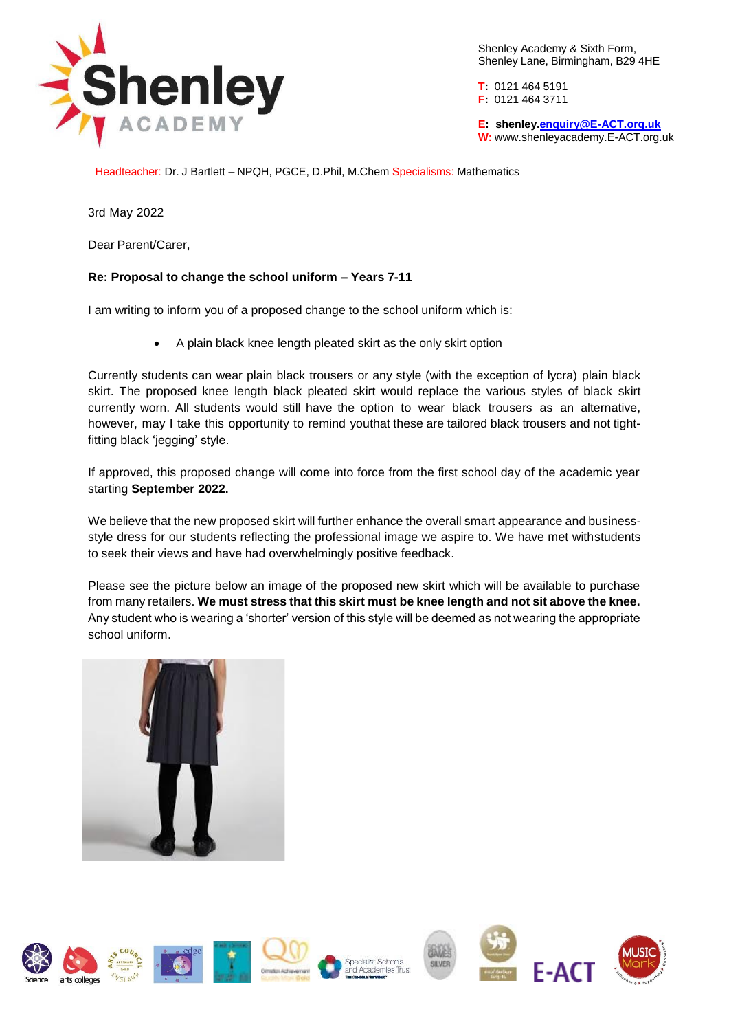

Shenley Academy & Sixth Form, Shenley Lane, Birmingham, B29 4HE

**T:** 0121 464 5191 **F:** 0121 464 3711

**E: shenle[y.enquiry@E-ACT.org.uk](mailto:enquiry@E-ACT.org.uk) W:** [www.shenleyacademy.E-ACT.org.uk](http://www.shenleyacademy.e-act.org.uk/)

Headteacher: Dr. J Bartlett – NPQH, PGCE, D.Phil, M.Chem Specialisms: Mathematics

3rd May 2022

Dear Parent/Carer,

## **Re: Proposal to change the school uniform – Years 7-11**

I am writing to inform you of a proposed change to the school uniform which is:

A plain black knee length pleated skirt as the only skirt option

Currently students can wear plain black trousers or any style (with the exception of lycra) plain black skirt. The proposed knee length black pleated skirt would replace the various styles of black skirt currently worn. All students would still have the option to wear black trousers as an alternative, however, may I take this opportunity to remind youthat these are tailored black trousers and not tightfitting black 'jegging' style.

If approved, this proposed change will come into force from the first school day of the academic year starting **September 2022.**

We believe that the new proposed skirt will further enhance the overall smart appearance and businessstyle dress for our students reflecting the professional image we aspire to. We have met withstudents to seek their views and have had overwhelmingly positive feedback.

Please see the picture below an image of the proposed new skirt which will be available to purchase from many retailers. **We must stress that this skirt must be knee length and not sit above the knee.** Any student who is wearing a 'shorter' version of this style will be deemed as not wearing the appropriate school uniform.